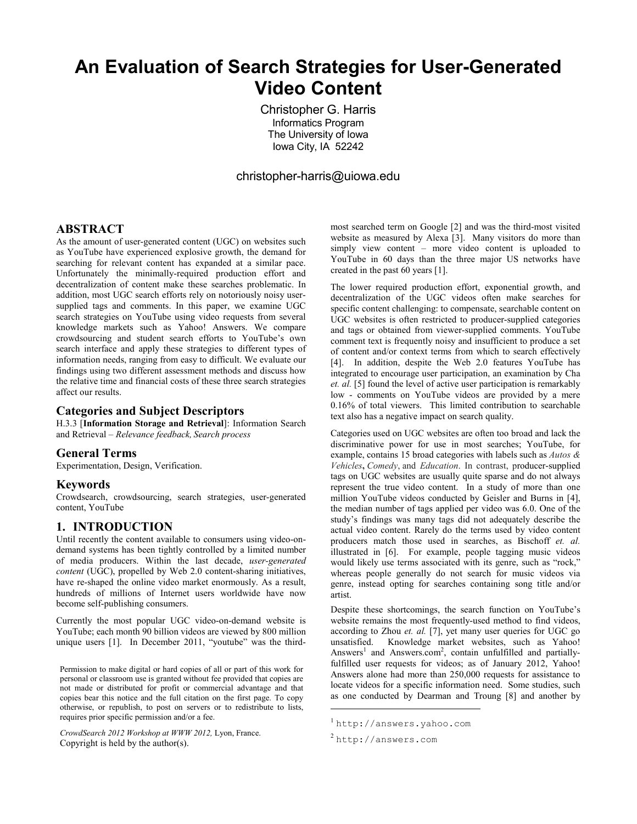# **An Evaluation of Search Strategies for User-Generated Video Content**

 Christopher G. Harris Informatics Program The University of Iowa Iowa City, IA 52242

## christopher-harris@uiowa.edu

## **ABSTRACT**

As the amount of user-generated content (UGC) on websites such as YouTube have experienced explosive growth, the demand for searching for relevant content has expanded at a similar pace. Unfortunately the minimally-required production effort and decentralization of content make these searches problematic. In addition, most UGC search efforts rely on notoriously noisy usersupplied tags and comments. In this paper, we examine UGC search strategies on YouTube using video requests from several knowledge markets such as Yahoo! Answers. We compare crowdsourcing and student search efforts to YouTube's own search interface and apply these strategies to different types of information needs, ranging from easy to difficult. We evaluate our findings using two different assessment methods and discuss how the relative time and financial costs of these three search strategies affect our results.

#### **Categories and Subject Descriptors**

H.3.3 [**Information Storage and Retrieval**]: Information Search and Retrieval – *Relevance feedback, Search process* 

#### **General Terms**

Experimentation, Design, Verification.

#### **Keywords**

Crowdsearch, crowdsourcing, search strategies, user-generated content, YouTube

## **1. INTRODUCTION**

Until recently the content available to consumers using video-ondemand systems has been tightly controlled by a limited number of media producers. Within the last decade, *user-generated content* (UGC), propelled by Web 2.0 content-sharing initiatives, have re-shaped the online video market enormously. As a result, hundreds of millions of Internet users worldwide have now become self-publishing consumers.

Currently the most popular UGC video-on-demand website is YouTube; each month 90 billion videos are viewed by 800 million unique users [1]. In December 2011, "youtube" was the third-

Permission to make digital or hard copies of all or part of this work for personal or classroom use is granted without fee provided that copies are not made or distributed for profit or commercial advantage and that copies bear this notice and the full citation on the first page. To copy otherwise, or republish, to post on servers or to redistribute to lists, requires prior specific permission and/or a fee.

*CrowdSearch 2012 Workshop at WWW 2012,* Lyon, France. Copyright is held by the author(s).

most searched term on Google [2] and was the third-most visited website as measured by Alexa [3]. Many visitors do more than simply view content – more video content is uploaded to YouTube in 60 days than the three major US networks have created in the past 60 years [1].

The lower required production effort, exponential growth, and decentralization of the UGC videos often make searches for specific content challenging: to compensate, searchable content on UGC websites is often restricted to producer-supplied categories and tags or obtained from viewer-supplied comments. YouTube comment text is frequently noisy and insufficient to produce a set of content and/or context terms from which to search effectively [4]. In addition, despite the Web 2.0 features YouTube has integrated to encourage user participation, an examination by Cha *et. al.* [5] found the level of active user participation is remarkably low - comments on YouTube videos are provided by a mere 0.16% of total viewers. This limited contribution to searchable text also has a negative impact on search quality.

Categories used on UGC websites are often too broad and lack the discriminative power for use in most searches; YouTube, for example, contains 15 broad categories with labels such as *Autos & Vehicles***,** *Comedy*, and *Education*. In contrast, producer-supplied tags on UGC websites are usually quite sparse and do not always represent the true video content. In a study of more than one million YouTube videos conducted by Geisler and Burns in [4], the median number of tags applied per video was 6.0. One of the study's findings was many tags did not adequately describe the actual video content. Rarely do the terms used by video content producers match those used in searches, as Bischoff *et. al.* illustrated in [6]. For example, people tagging music videos would likely use terms associated with its genre, such as "rock," whereas people generally do not search for music videos via genre, instead opting for searches containing song title and/or artist.

Despite these shortcomings, the search function on YouTube's website remains the most frequently-used method to find videos, according to Zhou *et. al.* [7], yet many user queries for UGC go unsatisfied. Knowledge market websites, such as Yahoo! Answers<sup>1</sup> and Answers.com<sup>2</sup>, contain unfulfilled and partiallyfulfilled user requests for videos; as of January 2012, Yahoo! Answers alone had more than 250,000 requests for assistance to locate videos for a specific information need. Some studies, such as one conducted by Dearman and Troung [8] and another by

1

<sup>1</sup> http://answers.yahoo.com

<sup>2</sup> http://answers.com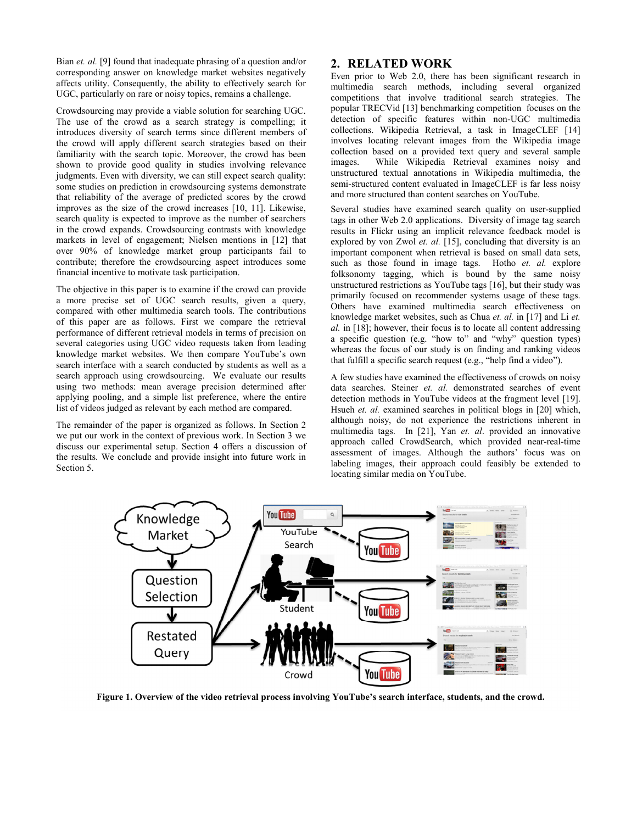Bian *et. al.* [9] found that inadequate phrasing of a question and/or corresponding answer on knowledge market websites negatively affects utility. Consequently, the ability to effectively search for UGC, particularly on rare or noisy topics, remains a challenge.

Crowdsourcing may provide a viable solution for searching UGC. The use of the crowd as a search strategy is compelling; it introduces diversity of search terms since different members of the crowd will apply different search strategies based on their familiarity with the search topic. Moreover, the crowd has been shown to provide good quality in studies involving relevance judgments. Even with diversity, we can still expect search quality: some studies on prediction in crowdsourcing systems demonstrate that reliability of the average of predicted scores by the crowd improves as the size of the crowd increases [10, 11]. Likewise, search quality is expected to improve as the number of searchers in the crowd expands. Crowdsourcing contrasts with knowledge markets in level of engagement; Nielsen mentions in [12] that over 90% of knowledge market group participants fail to contribute; therefore the crowdsourcing aspect introduces some financial incentive to motivate task participation.

The objective in this paper is to examine if the crowd can provide a more precise set of UGC search results, given a query, compared with other multimedia search tools. The contributions of this paper are as follows. First we compare the retrieval performance of different retrieval models in terms of precision on several categories using UGC video requests taken from leading knowledge market websites. We then compare YouTube's own search interface with a search conducted by students as well as a search approach using crowdsourcing. We evaluate our results using two methods: mean average precision determined after applying pooling, and a simple list preference, where the entire list of videos judged as relevant by each method are compared.

The remainder of the paper is organized as follows. In Section 2 we put our work in the context of previous work. In Section 3 we discuss our experimental setup. Section 4 offers a discussion of the results. We conclude and provide insight into future work in Section 5.

## **2. RELATED WORK**

Even prior to Web 2.0, there has been significant research in multimedia search methods, including several organized competitions that involve traditional search strategies. The popular TRECVid [13] benchmarking competition focuses on the detection of specific features within non-UGC multimedia collections. Wikipedia Retrieval, a task in ImageCLEF [14] involves locating relevant images from the Wikipedia image collection based on a provided text query and several sample images. While Wikipedia Retrieval examines noisy and unstructured textual annotations in Wikipedia multimedia, the semi-structured content evaluated in ImageCLEF is far less noisy and more structured than content searches on YouTube.

Several studies have examined search quality on user-supplied tags in other Web 2.0 applications. Diversity of image tag search results in Flickr using an implicit relevance feedback model is explored by von Zwol *et. al.* [15], concluding that diversity is an important component when retrieval is based on small data sets, such as those found in image tags. Hotho *et. al.* explore folksonomy tagging, which is bound by the same noisy unstructured restrictions as YouTube tags [16], but their study was primarily focused on recommender systems usage of these tags. Others have examined multimedia search effectiveness on knowledge market websites, such as Chua *et. al.* in [17] and Li *et. al.* in [18]; however, their focus is to locate all content addressing a specific question (e.g. "how to" and "why" question types) whereas the focus of our study is on finding and ranking videos that fulfill a specific search request (e.g., "help find a video").

A few studies have examined the effectiveness of crowds on noisy data searches. Steiner *et. al.* demonstrated searches of event detection methods in YouTube videos at the fragment level [19]. Hsueh *et. al.* examined searches in political blogs in [20] which, although noisy, do not experience the restrictions inherent in multimedia tags. In [21], Yan *et. al*. provided an innovative approach called CrowdSearch, which provided near-real-time assessment of images. Although the authors' focus was on labeling images, their approach could feasibly be extended to locating similar media on YouTube.



**Figure 1. Overview of the video retrieval process involving YouTube's search interface, students, and the crowd.**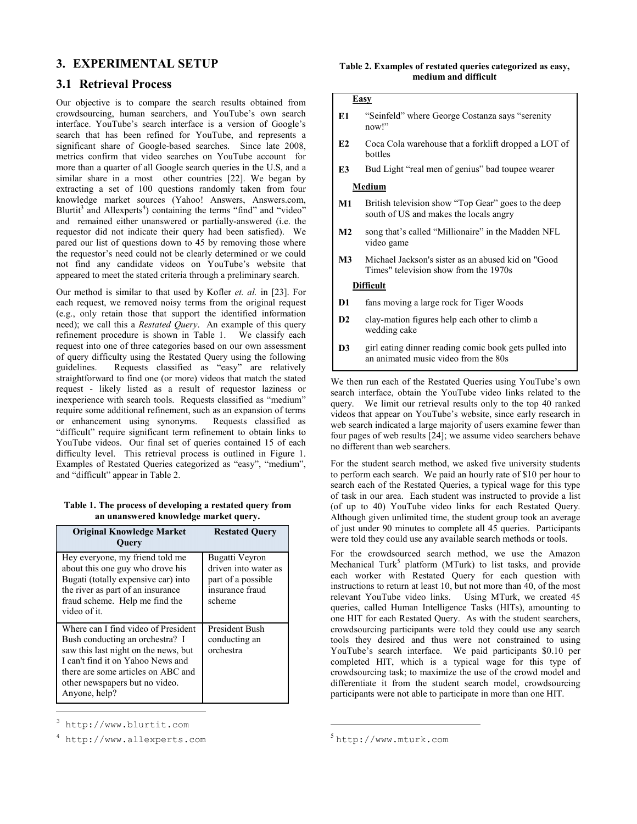# **3. EXPERIMENTAL SETUP**

## **3.1 Retrieval Process**

Our objective is to compare the search results obtained from crowdsourcing, human searchers, and YouTube's own search interface. YouTube's search interface is a version of Google's search that has been refined for YouTube, and represents a significant share of Google-based searches. Since late 2008, metrics confirm that video searches on YouTube account for more than a quarter of all Google search queries in the U.S, and a similar share in a most other countries [22]. We began by extracting a set of 100 questions randomly taken from four knowledge market sources (Yahoo! Answers, Answers.com, Blurtit<sup>3</sup> and Allexperts<sup>4</sup>) containing the terms "find" and "video" and remained either unanswered or partially-answered (i.e. the requestor did not indicate their query had been satisfied). We pared our list of questions down to 45 by removing those where the requestor's need could not be clearly determined or we could not find any candidate videos on YouTube's website that appeared to meet the stated criteria through a preliminary search.

Our method is similar to that used by Kofler *et. al.* in [23]. For each request, we removed noisy terms from the original request (e.g., only retain those that support the identified information need); we call this a *Restated Query*. An example of this query refinement procedure is shown in Table 1. We classify each request into one of three categories based on our own assessment of query difficulty using the Restated Query using the following guidelines. Requests classified as "easy" are relatively straightforward to find one (or more) videos that match the stated request - likely listed as a result of requestor laziness or inexperience with search tools. Requests classified as "medium" require some additional refinement, such as an expansion of terms or enhancement using synonyms. Requests classified as "difficult" require significant term refinement to obtain links to YouTube videos. Our final set of queries contained 15 of each difficulty level. This retrieval process is outlined in Figure 1. Examples of Restated Queries categorized as "easy", "medium", and "difficult" appear in Table 2.

| Table 1. The process of developing a restated query from |  |
|----------------------------------------------------------|--|
| an unanswered knowledge market query.                    |  |

| <b>Original Knowledge Market</b><br>Query                                                                                                                                                                                                    | <b>Restated Query</b>                                                                     |
|----------------------------------------------------------------------------------------------------------------------------------------------------------------------------------------------------------------------------------------------|-------------------------------------------------------------------------------------------|
| Hey everyone, my friend told me<br>about this one guy who drove his<br>Bugati (totally expensive car) into<br>the river as part of an insurance<br>fraud scheme. Help me find the<br>video of it.                                            | Bugatti Veyron<br>driven into water as<br>part of a possible<br>insurance fraud<br>scheme |
| Where can I find video of President<br>Bush conducting an orchestra? I<br>saw this last night on the news, but<br>I can't find it on Yahoo News and<br>there are some articles on ABC and<br>other newspapers but no video.<br>Anyone, help? | <b>President Bush</b><br>conducting an<br>orchestra                                       |

<sup>3</sup> http://www.blurtit.com

j

#### **Table 2. Examples of restated queries categorized as easy, medium and difficult**

#### **Easy**

- **E1** "Seinfeld" where George Costanza says "serenity now!"
- **E2** Coca Cola warehouse that a forklift dropped a LOT of bottles
- **E3** Bud Light "real men of genius" bad toupee wearer

## **Medium**

- **M1** British television show "Top Gear" goes to the deep south of US and makes the locals angry
- **M2** song that's called "Millionaire" in the Madden NFL video game
- **M3** Michael Jackson's sister as an abused kid on "Good Times" television show from the 1970s

#### **Difficult**

- **D1** fans moving a large rock for Tiger Woods
- **D2** clay-mation figures help each other to climb a wedding cake
- **D3** girl eating dinner reading comic book gets pulled into an animated music video from the 80s

We then run each of the Restated Queries using YouTube's own search interface, obtain the YouTube video links related to the query. We limit our retrieval results only to the top 40 ranked videos that appear on YouTube's website, since early research in web search indicated a large majority of users examine fewer than four pages of web results [24]; we assume video searchers behave no different than web searchers.

For the student search method, we asked five university students to perform each search. We paid an hourly rate of \$10 per hour to search each of the Restated Queries, a typical wage for this type of task in our area. Each student was instructed to provide a list (of up to 40) YouTube video links for each Restated Query. Although given unlimited time, the student group took an average of just under 90 minutes to complete all 45 queries. Participants were told they could use any available search methods or tools.

For the crowdsourced search method, we use the Amazon Mechanical Turk<sup>5</sup> platform (MTurk) to list tasks, and provide each worker with Restated Query for each question with instructions to return at least 10, but not more than 40, of the most relevant YouTube video links. Using MTurk, we created 45 queries, called Human Intelligence Tasks (HITs), amounting to one HIT for each Restated Query. As with the student searchers, crowdsourcing participants were told they could use any search tools they desired and thus were not constrained to using YouTube's search interface. We paid participants \$0.10 per completed HIT, which is a typical wage for this type of crowdsourcing task; to maximize the use of the crowd model and differentiate it from the student search model, crowdsourcing participants were not able to participate in more than one HIT.

1

<sup>4</sup> http://www.allexperts.com

<sup>5</sup> http://www.mturk.com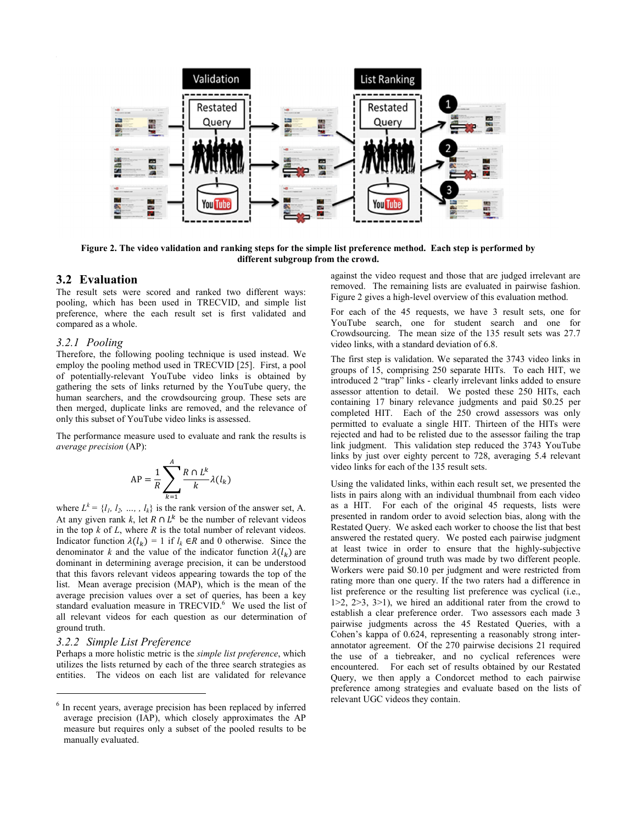

**Figure 2. The video validation and ranking steps for the simple list preference method. Each step is performed by different subgroup from the crowd.**

## **3.2 Evaluation**

The result sets were scored and ranked two different ways: pooling, which has been used in TRECVID, and simple list preference, where the each result set is first validated and compared as a whole.

#### *3.2.1 Pooling*

Therefore, the following pooling technique is used instead. We employ the pooling method used in TRECVID [25]. First, a pool of potentially-relevant YouTube video links is obtained by gathering the sets of links returned by the YouTube query, the human searchers, and the crowdsourcing group. These sets are then merged, duplicate links are removed, and the relevance of only this subset of YouTube video links is assessed.

The performance measure used to evaluate and rank the results is *average precision* (AP):

$$
AP = \frac{1}{R} \sum_{k=1}^{A} \frac{R \cap L^{k}}{k} \lambda(l_{k})
$$

where  $L^k = \{l_1, l_2, ..., l_k\}$  is the rank version of the answer set, A. At any given rank  $k$ , let  $R \cap L^k$  be the number of relevant videos in the top  $k$  of  $L$ , where  $R$  is the total number of relevant videos. Indicator function  $\lambda(l_k) = 1$  if  $l_k \in \mathbb{R}$  and 0 otherwise. Since the denominator k and the value of the indicator function  $\lambda(l_k)$  are dominant in determining average precision, it can be understood that this favors relevant videos appearing towards the top of the list. Mean average precision (MAP), which is the mean of the average precision values over a set of queries, has been a key standard evaluation measure in TRECVID.<sup>6</sup> We used the list of all relevant videos for each question as our determination of ground truth.

#### *3.2.2 Simple List Preference*

j

Perhaps a more holistic metric is the *simple list preference*, which utilizes the lists returned by each of the three search strategies as entities. The videos on each list are validated for relevance against the video request and those that are judged irrelevant are removed. The remaining lists are evaluated in pairwise fashion. Figure 2 gives a high-level overview of this evaluation method.

For each of the 45 requests, we have 3 result sets, one for YouTube search, one for student search and one for Crowdsourcing. The mean size of the 135 result sets was 27.7 video links, with a standard deviation of 6.8.

The first step is validation. We separated the 3743 video links in groups of 15, comprising 250 separate HITs. To each HIT, we introduced 2 "trap" links - clearly irrelevant links added to ensure assessor attention to detail. We posted these 250 HITs, each containing 17 binary relevance judgments and paid \$0.25 per completed HIT. Each of the 250 crowd assessors was only permitted to evaluate a single HIT. Thirteen of the HITs were rejected and had to be relisted due to the assessor failing the trap link judgment. This validation step reduced the 3743 YouTube links by just over eighty percent to 728, averaging 5.4 relevant video links for each of the 135 result sets.

Using the validated links, within each result set, we presented the lists in pairs along with an individual thumbnail from each video as a HIT. For each of the original 45 requests, lists were presented in random order to avoid selection bias, along with the Restated Query. We asked each worker to choose the list that best answered the restated query. We posted each pairwise judgment at least twice in order to ensure that the highly-subjective determination of ground truth was made by two different people. Workers were paid \$0.10 per judgment and were restricted from rating more than one query. If the two raters had a difference in list preference or the resulting list preference was cyclical (i.e.,  $1>2$ ,  $2>3$ ,  $3>1$ ), we hired an additional rater from the crowd to establish a clear preference order. Two assessors each made 3 pairwise judgments across the 45 Restated Queries, with a Cohen's kappa of 0.624, representing a reasonably strong interannotator agreement. Of the 270 pairwise decisions 21 required the use of a tiebreaker, and no cyclical references were encountered. For each set of results obtained by our Restated Query, we then apply a Condorcet method to each pairwise preference among strategies and evaluate based on the lists of relevant UGC videos they contain.

<sup>6</sup> In recent years, average precision has been replaced by inferred average precision (IAP), which closely approximates the AP measure but requires only a subset of the pooled results to be manually evaluated.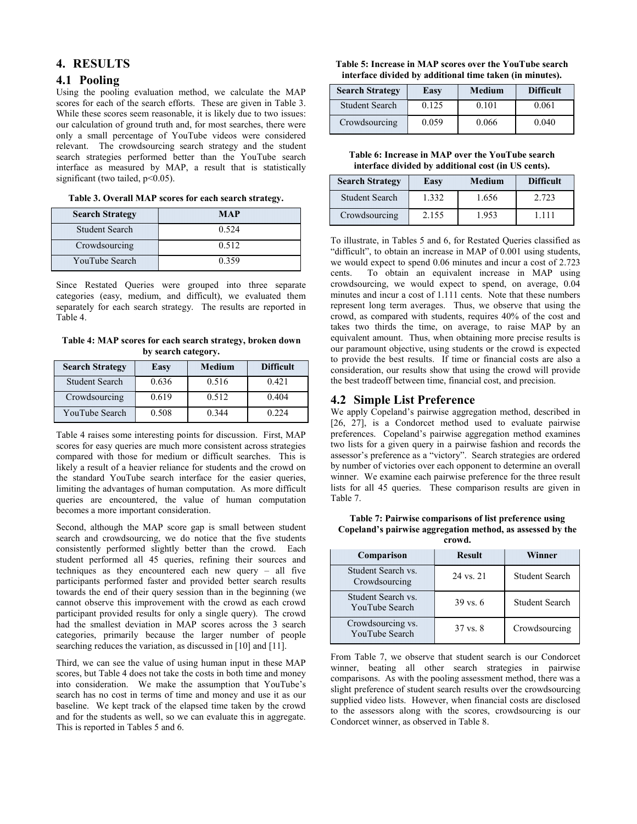# **4. RESULTS**

## **4.1 Pooling**

Using the pooling evaluation method, we calculate the MAP scores for each of the search efforts. These are given in Table 3. While these scores seem reasonable, it is likely due to two issues: our calculation of ground truth and, for most searches, there were only a small percentage of YouTube videos were considered relevant. The crowdsourcing search strategy and the student search strategies performed better than the YouTube search interface as measured by MAP, a result that is statistically significant (two tailed, p<0.05).

**Table 3. Overall MAP scores for each search strategy.** 

| <b>Search Strategy</b> | <b>MAP</b> |
|------------------------|------------|
| <b>Student Search</b>  | 0.524      |
| Crowdsourcing          | 0.512      |
| YouTube Search         | 0.359      |

Since Restated Queries were grouped into three separate categories (easy, medium, and difficult), we evaluated them separately for each search strategy. The results are reported in Table 4.

**Table 4: MAP scores for each search strategy, broken down by search category.** 

| <b>Search Strategy</b> | Easy  | Medium | <b>Difficult</b> |
|------------------------|-------|--------|------------------|
| <b>Student Search</b>  | 0.636 | 0.516  | 0.421            |
| Crowdsourcing          | 0.619 | 0.512  | 0.404            |
| YouTube Search         | 0.508 | 0.344  | 0.224            |

Table 4 raises some interesting points for discussion. First, MAP scores for easy queries are much more consistent across strategies compared with those for medium or difficult searches. This is likely a result of a heavier reliance for students and the crowd on the standard YouTube search interface for the easier queries, limiting the advantages of human computation. As more difficult queries are encountered, the value of human computation becomes a more important consideration.

Second, although the MAP score gap is small between student search and crowdsourcing, we do notice that the five students consistently performed slightly better than the crowd. Each student performed all 45 queries, refining their sources and techniques as they encountered each new query – all five participants performed faster and provided better search results towards the end of their query session than in the beginning (we cannot observe this improvement with the crowd as each crowd participant provided results for only a single query). The crowd had the smallest deviation in MAP scores across the 3 search categories, primarily because the larger number of people searching reduces the variation, as discussed in [10] and [11].

Third, we can see the value of using human input in these MAP scores, but Table 4 does not take the costs in both time and money into consideration. We make the assumption that YouTube's search has no cost in terms of time and money and use it as our baseline. We kept track of the elapsed time taken by the crowd and for the students as well, so we can evaluate this in aggregate. This is reported in Tables 5 and 6.

|  |  |  |  |  | Table 5: Increase in MAP scores over the YouTube search  |  |
|--|--|--|--|--|----------------------------------------------------------|--|
|  |  |  |  |  | interface divided by additional time taken (in minutes). |  |

| <b>Search Strategy</b> | Easy  | Medium | <b>Difficult</b> |
|------------------------|-------|--------|------------------|
| <b>Student Search</b>  | 0.125 | 0.101  | 0.061            |
| Crowdsourcing          | 0.059 | 0.066  | 0.040            |

**Table 6: Increase in MAP over the YouTube search interface divided by additional cost (in US cents).**

| <b>Search Strategy</b> | Easy  | Medium | <b>Difficult</b> |
|------------------------|-------|--------|------------------|
| <b>Student Search</b>  | 1.332 | 1.656  | 2.723            |
| Crowdsourcing          | 2.155 | 1.953  | 1 1 1 1          |

To illustrate, in Tables 5 and 6, for Restated Queries classified as "difficult", to obtain an increase in MAP of 0.001 using students, we would expect to spend 0.06 minutes and incur a cost of 2.723 cents. To obtain an equivalent increase in MAP using crowdsourcing, we would expect to spend, on average, 0.04 minutes and incur a cost of 1.111 cents. Note that these numbers represent long term averages. Thus, we observe that using the crowd, as compared with students, requires 40% of the cost and takes two thirds the time, on average, to raise MAP by an equivalent amount. Thus, when obtaining more precise results is our paramount objective, using students or the crowd is expected to provide the best results. If time or financial costs are also a consideration, our results show that using the crowd will provide the best tradeoff between time, financial cost, and precision.

## **4.2 Simple List Preference**

We apply Copeland's pairwise aggregation method, described in [26, 27], is a Condorcet method used to evaluate pairwise preferences. Copeland's pairwise aggregation method examines two lists for a given query in a pairwise fashion and records the assessor's preference as a "victory". Search strategies are ordered by number of victories over each opponent to determine an overall winner. We examine each pairwise preference for the three result lists for all 45 queries. These comparison results are given in Table 7.

**Table 7: Pairwise comparisons of list preference using Copeland's pairwise aggregation method, as assessed by the crowd.** 

| Comparison                           | <b>Result</b>       | Winner                |
|--------------------------------------|---------------------|-----------------------|
| Student Search vs.<br>Crowdsourcing  | 24 vs. 21           | <b>Student Search</b> |
| Student Search vs.<br>YouTube Search | $39 \text{ vs. } 6$ | <b>Student Search</b> |
| Crowdsourcing vs.<br>YouTube Search  | $37$ vs. $8$        | Crowdsourcing         |

From Table 7, we observe that student search is our Condorcet winner, beating all other search strategies in pairwise comparisons. As with the pooling assessment method, there was a slight preference of student search results over the crowdsourcing supplied video lists. However, when financial costs are disclosed to the assessors along with the scores, crowdsourcing is our Condorcet winner, as observed in Table 8.